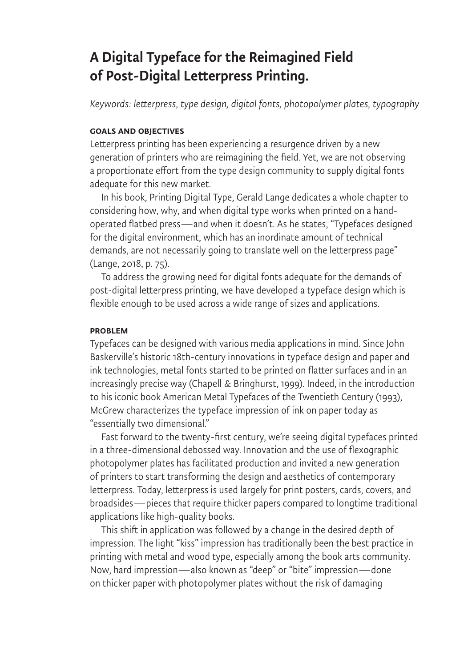# A Digital Typeface for the Reimagined Field of Post-Digital Letterpress Printing.

*Keywords: letterpress, type design, digital fonts, photopolymer plates, typography* 

#### Goals and Objectives

Letterpress printing has been experiencing a resurgence driven by a new generation of printers who are reimagining the field. Yet, we are not observing a proportionate effort from the type design community to supply digital fonts adequate for this new market.

In his book, Printing Digital Type, Gerald Lange dedicates a whole chapter to considering how, why, and when digital type works when printed on a handoperated flatbed press—and when it doesn't. As he states, "Typefaces designed for the digital environment, which has an inordinate amount of technical demands, are not necessarily going to translate well on the letterpress page" (Lange, 2018, p. 75).

To address the growing need for digital fonts adequate for the demands of post-digital letterpress printing, we have developed a typeface design which is flexible enough to be used across a wide range of sizes and applications.

## Problem

Typefaces can be designed with various media applications in mind. Since John Baskerville's historic 18th-century innovations in typeface design and paper and ink technologies, metal fonts started to be printed on flatter surfaces and in an increasingly precise way (Chapell & Bringhurst, 1999). Indeed, in the introduction to his iconic book American Metal Typefaces of the Twentieth Century (1993), McGrew characterizes the typeface impression of ink on paper today as "essentially two dimensional."

Fast forward to the twenty-first century, we're seeing digital typefaces printed in a three-dimensional debossed way. Innovation and the use of flexographic photopolymer plates has facilitated production and invited a new generation of printers to start transforming the design and aesthetics of contemporary letterpress. Today, letterpress is used largely for print posters, cards, covers, and broadsides—pieces that require thicker papers compared to longtime traditional applications like high-quality books.

This shift in application was followed by a change in the desired depth of impression. The light "kiss" impression has traditionally been the best practice in printing with metal and wood type, especially among the book arts community. Now, hard impression—also known as "deep" or "bite" impression—done on thicker paper with photopolymer plates without the risk of damaging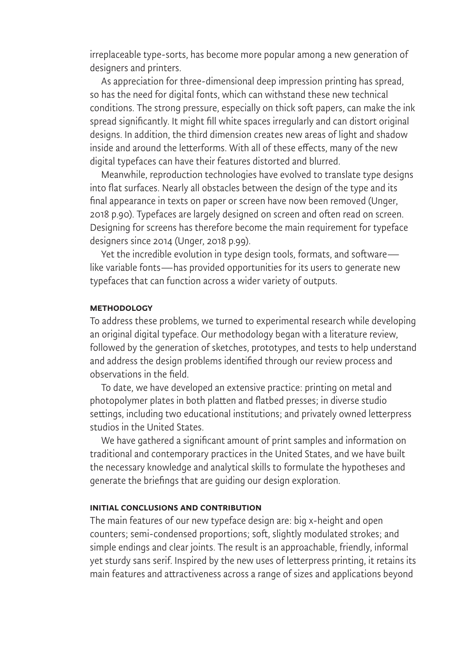irreplaceable type-sorts, has become more popular among a new generation of designers and printers.

As appreciation for three-dimensional deep impression printing has spread, so has the need for digital fonts, which can withstand these new technical conditions. The strong pressure, especially on thick soft papers, can make the ink spread significantly. It might fill white spaces irregularly and can distort original designs. In addition, the third dimension creates new areas of light and shadow inside and around the letterforms. With all of these effects, many of the new digital typefaces can have their features distorted and blurred.

Meanwhile, reproduction technologies have evolved to translate type designs into flat surfaces. Nearly all obstacles between the design of the type and its final appearance in texts on paper or screen have now been removed (Unger, 2018 p.90). Typefaces are largely designed on screen and often read on screen. Designing for screens has therefore become the main requirement for typeface designers since 2014 (Unger, 2018 p.99).

Yet the incredible evolution in type design tools, formats, and software like variable fonts—has provided opportunities for its users to generate new typefaces that can function across a wider variety of outputs.

#### **METHODOLOGY**

To address these problems, we turned to experimental research while developing an original digital typeface. Our methodology began with a literature review, followed by the generation of sketches, prototypes, and tests to help understand and address the design problems identified through our review process and observations in the field.

To date, we have developed an extensive practice: printing on metal and photopolymer plates in both platten and flatbed presses; in diverse studio settings, including two educational institutions; and privately owned letterpress studios in the United States.

We have gathered a significant amount of print samples and information on traditional and contemporary practices in the United States, and we have built the necessary knowledge and analytical skills to formulate the hypotheses and generate the briefings that are guiding our design exploration.

## Initial Conclusions and Contribution

The main features of our new typeface design are: big x-height and open counters; semi-condensed proportions; soft, slightly modulated strokes; and simple endings and clear joints. The result is an approachable, friendly, informal yet sturdy sans serif. Inspired by the new uses of letterpress printing, it retains its main features and attractiveness across a range of sizes and applications beyond